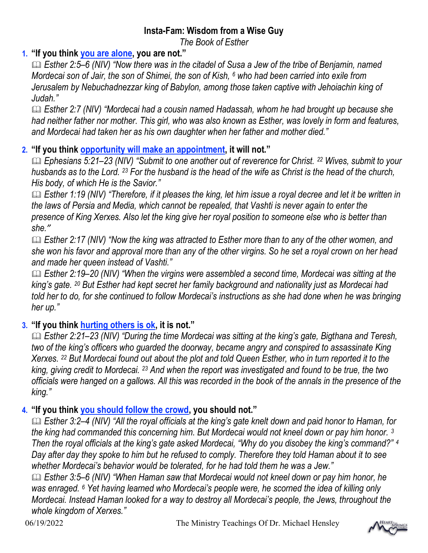# Insta-Fam: Wisdom from a Wise Guy

The Book of Esther

## 1. "If you think you are alone, you are not."

 Esther 2:5–6 (NIV) "Now there was in the citadel of Susa a Jew of the tribe of Benjamin, named Mordecai son of Jair, the son of Shimei, the son of Kish, 6 who had been carried into exile from Jerusalem by Nebuchadnezzar king of Babylon, among those taken captive with Jehoiachin king of Judah."

 Esther 2:7 (NIV) "Mordecai had a cousin named Hadassah, whom he had brought up because she had neither father nor mother. This girl, who was also known as Esther, was lovely in form and features, and Mordecai had taken her as his own daughter when her father and mother died."

### 2. "If you think opportunity will make an appointment, it will not."

Ephesians 5:21–23 (NIV) "Submit to one another out of reverence for Christ. <sup>22</sup> Wives, submit to your husbands as to the Lord. <sup>23</sup> For the husband is the head of the wife as Christ is the head of the church, His body, of which He is the Savior."

**Esther 1:19 (NIV) "Therefore, if it pleases the king, let him issue a royal decree and let it be written in** the laws of Persia and Media, which cannot be repealed, that Vashti is never again to enter the presence of King Xerxes. Also let the king give her royal position to someone else who is better than she."

**Esther 2:17 (NIV) "Now the king was attracted to Esther more than to any of the other women, and** she won his favor and approval more than any of the other virgins. So he set a royal crown on her head and made her queen instead of Vashti."

**■ Esther 2:19–20 (NIV) "When the virgins were assembled a second time, Mordecai was sitting at the** king's gate. 20 But Esther had kept secret her family background and nationality just as Mordecai had told her to do, for she continued to follow Mordecai's instructions as she had done when he was bringing her up."

# 3. "If you think hurting others is ok, it is not."

 Esther 2:21–23 (NIV) "During the time Mordecai was sitting at the king's gate, Bigthana and Teresh, two of the king's officers who guarded the doorway, became angry and conspired to assassinate King Xerxes. 22 But Mordecai found out about the plot and told Queen Esther, who in turn reported it to the king, giving credit to Mordecai. 23 And when the report was investigated and found to be true, the two officials were hanged on a gallows. All this was recorded in the book of the annals in the presence of the king."

### 4. "If you think you should follow the crowd, you should not."

 Esther 3:2–4 (NIV) "All the royal officials at the king's gate knelt down and paid honor to Haman, for the king had commanded this concerning him. But Mordecai would not kneel down or pay him honor. 3 Then the royal officials at the king's gate asked Mordecai, "Why do you disobey the king's command?" <sup>4</sup> Day after day they spoke to him but he refused to comply. Therefore they told Haman about it to see whether Mordecai's behavior would be tolerated, for he had told them he was a Jew."

 Esther 3:5–6 (NIV) "When Haman saw that Mordecai would not kneel down or pay him honor, he was enraged. <sup>6</sup> Yet having learned who Mordecai's people were, he scorned the idea of killing only Mordecai. Instead Haman looked for a way to destroy all Mordecai's people, the Jews, throughout the whole kingdom of Xerxes."

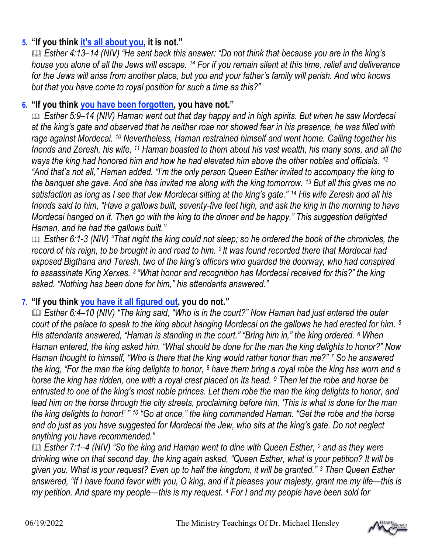### 5. "If you think it's all about you, it is not."

 Esther 4:13–14 (NIV) "He sent back this answer: "Do not think that because you are in the king's house you alone of all the Jews will escape. 14 For if you remain silent at this time, relief and deliverance for the Jews will arise from another place, but you and your father's family will perish. And who knows but that you have come to royal position for such a time as this?"

### 6. "If you think you have been forgotten, you have not."

 Esther 5:9–14 (NIV) Haman went out that day happy and in high spirits. But when he saw Mordecai at the king's gate and observed that he neither rose nor showed fear in his presence, he was filled with rage against Mordecai. 10 Nevertheless, Haman restrained himself and went home. Calling together his friends and Zeresh, his wife, 11 Haman boasted to them about his vast wealth, his many sons, and all the ways the king had honored him and how he had elevated him above the other nobles and officials. <sup>12</sup> "And that's not all," Haman added. "I'm the only person Queen Esther invited to accompany the king to the banquet she gave. And she has invited me along with the king tomorrow. <sup>13</sup> But all this gives me no satisfaction as long as I see that Jew Mordecai sitting at the king's gate." <sup>14</sup> His wife Zeresh and all his friends said to him, "Have a gallows built, seventy-five feet high, and ask the king in the morning to have Mordecai hanged on it. Then go with the king to the dinner and be happy." This suggestion delighted Haman, and he had the gallows built."

 Esther 6:1-3 (NIV) "That night the king could not sleep; so he ordered the book of the chronicles, the record of his reign, to be brought in and read to him. <sup>2</sup> It was found recorded there that Mordecai had exposed Bigthana and Teresh, two of the king's officers who guarded the doorway, who had conspired to assassinate King Xerxes. 3 "What honor and recognition has Mordecai received for this?" the king asked. "Nothing has been done for him," his attendants answered."

### 7. "If you think you have it all figured out, you do not."

 Esther 6:4–10 (NIV) "The king said, "Who is in the court?" Now Haman had just entered the outer court of the palace to speak to the king about hanging Mordecai on the gallows he had erected for him. <sup>5</sup> His attendants answered, "Haman is standing in the court." "Bring him in," the king ordered. <sup>6</sup> When Haman entered, the king asked him, "What should be done for the man the king delights to honor?" Now Haman thought to himself, "Who is there that the king would rather honor than me?" <sup>7</sup> So he answered the king, "For the man the king delights to honor, 8 have them bring a royal robe the king has worn and a horse the king has ridden, one with a royal crest placed on its head. <sup>9</sup> Then let the robe and horse be entrusted to one of the king's most noble princes. Let them robe the man the king delights to honor, and lead him on the horse through the city streets, proclaiming before him, 'This is what is done for the man the king delights to honor!' " <sup>10</sup> "Go at once," the king commanded Haman. "Get the robe and the horse and do just as you have suggested for Mordecai the Jew, who sits at the king's gate. Do not neglect anything you have recommended."

**■ Esther 7:1–4 (NIV) "So the king and Haman went to dine with Queen Esther, 2 and as they were** drinking wine on that second day, the king again asked, "Queen Esther, what is your petition? It will be given you. What is your request? Even up to half the kingdom, it will be granted." <sup>3</sup> Then Queen Esther answered, "If I have found favor with you, O king, and if it pleases your majesty, grant me my life—this is my petition. And spare my people—this is my request. <sup>4</sup> For I and my people have been sold for